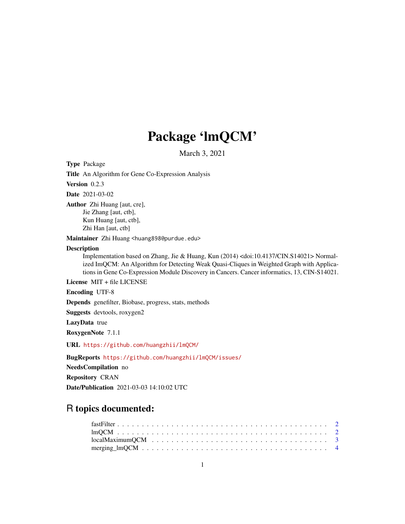## Package 'lmQCM'

March 3, 2021

Type Package

Title An Algorithm for Gene Co-Expression Analysis

Version 0.2.3

Date 2021-03-02

Author Zhi Huang [aut, cre], Jie Zhang [aut, ctb], Kun Huang [aut, ctb], Zhi Han [aut, ctb]

Maintainer Zhi Huang <huang898@purdue.edu>

#### Description

Implementation based on Zhang, Jie & Huang, Kun (2014) <doi:10.4137/CIN.S14021> Normalized ImQCM: An Algorithm for Detecting Weak Quasi-Cliques in Weighted Graph with Applications in Gene Co-Expression Module Discovery in Cancers. Cancer informatics, 13, CIN-S14021.

License MIT + file LICENSE

Encoding UTF-8

Depends genefilter, Biobase, progress, stats, methods

Suggests devtools, roxygen2

LazyData true

RoxygenNote 7.1.1

URL <https://github.com/huangzhii/lmQCM/>

BugReports <https://github.com/huangzhii/lmQCM/issues/>

NeedsCompilation no

Repository CRAN

Date/Publication 2021-03-03 14:10:02 UTC

### R topics documented: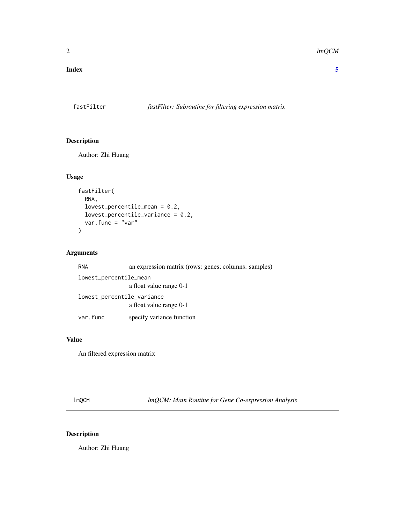#### <span id="page-1-0"></span>**Index** [5](#page-4-0). The second state of the second state of the second state of the second state of the second state of the second state of the second state of the second state of the second state of the second state of the second

#### fastFilter *fastFilter: Subroutine for filtering expression matrix*

#### Description

Author: Zhi Huang

#### Usage

```
fastFilter(
  RNA,
  lowest_percentile_mean = 0.2,
 lowest_percentile_variance = 0.2,
  var.func = "var"
)
```
#### Arguments

| <b>RNA</b>             | an expression matrix (rows: genes; columns: samples) |  |
|------------------------|------------------------------------------------------|--|
| lowest_percentile_mean |                                                      |  |
|                        | a float value range 0-1                              |  |
|                        | lowest_percentile_variance                           |  |
|                        | a float value range 0-1                              |  |
| var.func               | specify variance function                            |  |

#### Value

An filtered expression matrix

lmQCM *lmQCM: Main Routine for Gene Co-expression Analysis*

#### Description

Author: Zhi Huang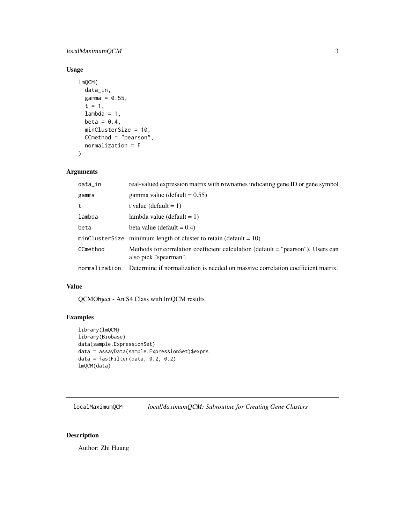#### <span id="page-2-0"></span>localMaximumQCM 3

#### Usage

```
lmQCM(
  data_in,
  gamma = 0.55,
  t = 1,lambda = 1,
  beta = 0.4,
 minClusterSize = 10,
 CCmethod = "pearson",
  normalization = F
\mathcal{L}
```
#### Arguments

| data_in       | real-valued expression matrix with rownames indicating gene ID or gene symbol                             |
|---------------|-----------------------------------------------------------------------------------------------------------|
| gamma         | gamma value (default = $0.55$ )                                                                           |
| t             | t value (default $= 1$ )                                                                                  |
| lambda        | lambda value (default $= 1$ )                                                                             |
| beta          | beta value (default $= 0.4$ )                                                                             |
|               | minClusterSize minimum length of cluster to retain (default = $10$ )                                      |
| CCmethod      | Methods for correlation coefficient calculation (default = "pearson"). Users can<br>also pick "spearman". |
| normalization | Determine if normalization is needed on massive correlation coefficient matrix.                           |

#### Value

QCMObject - An S4 Class with lmQCM results

#### Examples

```
library(lmQCM)
library(Biobase)
data(sample.ExpressionSet)
data = assayData(sample.ExpressionSet)$exprs
data = fastFilter(data, 0.2, 0.2)
lmQCM(data)
```
localMaximumQCM *localMaximumQCM: Subroutine for Creating Gene Clusters*

#### Description

Author: Zhi Huang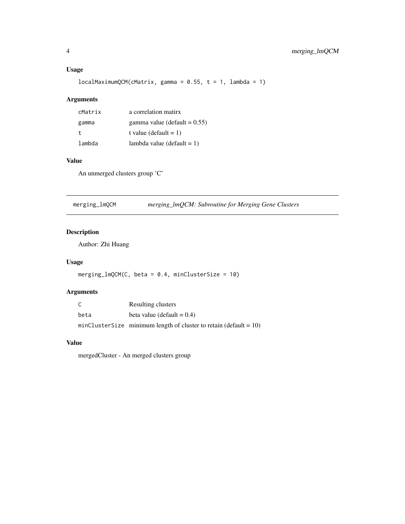#### <span id="page-3-0"></span>Usage

 $localMaximumQCM(CAatrix, gamma = 0.55, t = 1, lambda = 1)$ 

#### Arguments

| cMatrix | a correlation matirx            |
|---------|---------------------------------|
| gamma   | gamma value (default $= 0.55$ ) |
| t.      | t value (default = 1)           |
| lambda  | lambda value (default $= 1$ )   |

#### Value

An unmerged clusters group 'C'

merging\_lmQCM *merging\_lmQCM: Subroutine for Merging Gene Clusters*

#### Description

Author: Zhi Huang

#### Usage

```
merging\_lmQCM(C, beta = 0.4, minClusterSize = 10)
```
#### Arguments

| C    | Resulting clusters                                                   |
|------|----------------------------------------------------------------------|
| beta | beta value (default $= 0.4$ )                                        |
|      | minClusterSize minimum length of cluster to retain (default = $10$ ) |

#### Value

mergedCluster - An merged clusters group